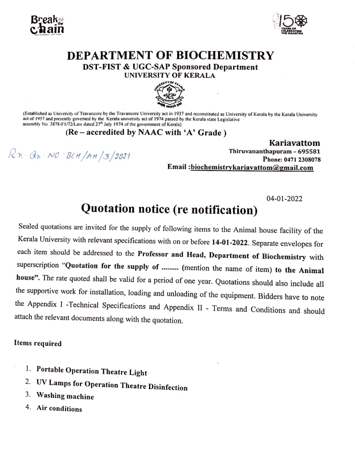



## DEPARTMENT OF BIOCHEMISTRY

DST-FIST& UGC-SAP Sponsored Department

UNIVERSITY OF KERALA



(Established as University of Travancore by the Travancore University act in 1937 and reconstituted as University of Kerala by the Kerala University act of 1957 and presently govemed by lhe Kerala university act of 1974 passed by the Kerala state Legislative assembly No. 3878-F1/72/Law dated 27<sup>th</sup> July 1974 of the government of Kerala)

### $(Re - \text{accredited by NAAC with 'A' Grade})$

 $Rn \cdot a_n \cdot \text{NO} \cdot \text{BrH}/\text{AH}/3/2021$ 

Kariavattom Thiruvananthapuram- 695581 Phone: 0471 2308078 Email biochemistrykariavattom@gmail.com

04-01-2022

### Quotation notice (re notification)

Sealed quotations are invited for the supply of following items to the Animal house facility of the Kerala University with relevant specifications with on or before 14-01-2022. Separate envelopes for each item should be addressed to the Professor and Head, Department of Biochemistry with superscription "Quotation for the supply of ......... (mention the name of item) to the Animal house". The rate quoted shall be valid for a period of one year. Quotations should also include all the supportive work for installation, loading and unloading of the equipment. Bidders have to note the Appendix I -Technical Specifications and Appendix II - Terms and Conditions and should attach the relevant documents along with the quotation.

#### Items required

- 1. Portable Operation Theatre Light
- 2. UV Lamps for Operation Theatre Disinfection
- 3. Washing machine
- 4. Air conditions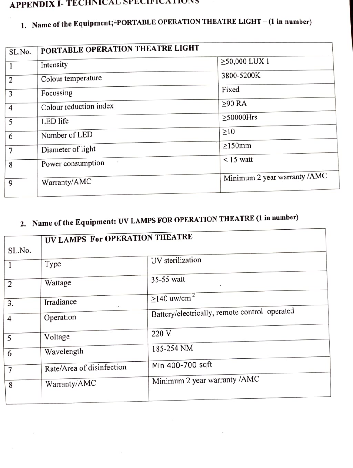### APPENDIX I- TECHNICAL SPECIFICATIONS

## 1. Name of the Equipment;-PORTABLE OPERATION THEATRE LIGHT- (1 in number)

| SL.No.         | PORTABLE OPERATION THEATRE LIGHT |                              |  |
|----------------|----------------------------------|------------------------------|--|
|                | Intensity                        | $\geq$ 50,000 LUX 1          |  |
| $\overline{2}$ | Colour temperature               | 3800-5200K                   |  |
| 3              | Focussing                        | Fixed                        |  |
| 4              | Colour reduction index           | >90 RA                       |  |
| 5              | LED life                         | $\geq$ 50000Hrs              |  |
| 6              | Number of LED                    | $\geq 10$                    |  |
| 7              | Diameter of light                | $>150$ mm                    |  |
| 8              | Power consumption                | $< 15$ watt                  |  |
|                |                                  | Minimum 2 year warranty /AMC |  |
| 9              | Warranty/AMC                     |                              |  |

# 2. Name of the Equipment: UV LAMPS FOR OPERATION THEATRE (1 in number)

|                | UV LAMPS For OPERATION THEATRE |                                               |  |
|----------------|--------------------------------|-----------------------------------------------|--|
| SL.No.         |                                |                                               |  |
| $\mathbf{1}$   | Type                           | UV sterilization                              |  |
| 2              | Wattage                        | 35-55 watt<br>$\bullet$                       |  |
| 3.             | Irradiance<br>$\sim$           | $\geq$ 140 uw/cm <sup>2</sup>                 |  |
| $\overline{4}$ | Operation                      | Battery/electrically, remote control operated |  |
| -5             | Voltage                        | 220 V                                         |  |
| 6              | Wavelength                     | 185-254 NM                                    |  |
| 7              | Rate/Area of disinfection      | Min 400-700 sqft                              |  |
| 8              | Warranty/AMC                   | Minimum 2 year warranty /AMC                  |  |
|                |                                |                                               |  |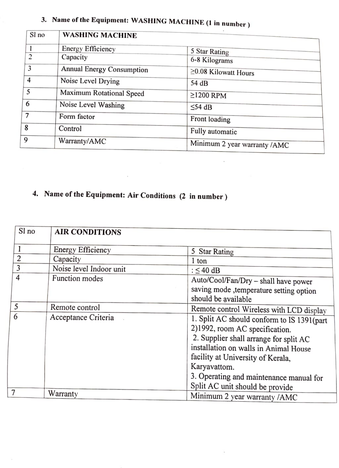## 3. Name of the Equipment: WASHING MACHINE (1 in number)

| Sl no          | <b>WASHING MACHINE</b>    |                              |
|----------------|---------------------------|------------------------------|
|                | Energy Efficiency         | 5 Star Rating                |
| $\overline{c}$ | Capacity                  | 6-8 Kilograms                |
| 3              | Annual Energy Consumption | ≥0.08 Kilowatt Hours         |
| 4              | Noise Level Drying        | 54 dB                        |
| 5              | Maximum Rotational Speed  | $\geq$ 1200 RPM              |
| 6              | Noise Level Washing       | $\leq$ 54 dB                 |
| 7              | Form factor               | Front loading                |
| 8              | Control                   | Fully automatic              |
| $\mathbf{Q}$   | Warranty/AMC              | Minimum 2 year warranty /AMC |

ł,

## 4. Name of the Equipment: Air Conditions (2 in number)

| Sl no | <b>AIR CONDITIONS</b>   |                                                                                                                                                                                                                                                                                                    |
|-------|-------------------------|----------------------------------------------------------------------------------------------------------------------------------------------------------------------------------------------------------------------------------------------------------------------------------------------------|
|       | Energy Efficiency       | 5 Star Rating                                                                                                                                                                                                                                                                                      |
| 2     | Capacity                | 1 ton                                                                                                                                                                                                                                                                                              |
| 3     | Noise level Indoor unit | : $\leq 40$ dB                                                                                                                                                                                                                                                                                     |
| 4     | Function modes          | Auto/Cool/Fan/Dry - shall have power                                                                                                                                                                                                                                                               |
|       |                         | saving mode , temperature setting option<br>should be available                                                                                                                                                                                                                                    |
| 5     | Remote control          | Remote control Wireless with LCD display                                                                                                                                                                                                                                                           |
| 6     | Acceptance Criteria     | 1. Split AC should conform to IS 1391(part<br>2)1992, room AC specification.<br>2. Supplier shall arrange for split AC<br>installation on walls in Animal House<br>facility at University of Kerala,<br>Karyavattom.<br>3. Operating and maintenance manual for<br>Split AC unit should be provide |
| 7     | Warranty                | Minimum 2 year warranty /AMC                                                                                                                                                                                                                                                                       |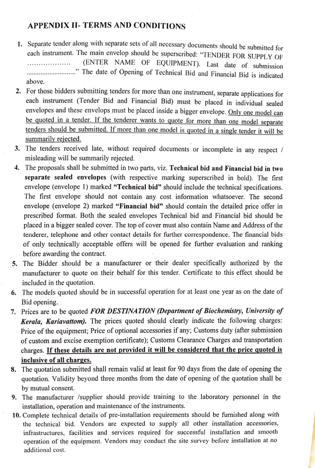### **APPENDIX II- TERMS AND CONDITIONS**

- 1. Separate tender along with separate sets of all necessary documents should be submitted for each instrument. The main envelop should be superscribed: "TENDER FOR SUPPLY OF (ENTER NAME OF EQUIPMENT). Last date of submission ............................." The date of Opening of Technical Bid and Financial Bid is indicated \*\*\*\*\*\*\*\*\*\*\*\*\*\*\*\*\* above.
- 2. For those bidders submitting tenders for more than one instrument, separate applications for each instrument (Tender Bid and Financial Bid) must be placed in individual sealed<br>envelopes and these envelops must be placed inside a bigger envelope. Only one model can be quoted in a tender. If the tenderer wants to quote for more than one model separate tenders should be submitted. If more than one model is quoted in a single tender it will be summarily rejected.
- 3. The tenders received late, without required documents or incomplete in any respect / misleading will be summarily rejected.
- 4. The proposals shall be submited in two parts, viz. Technical bid and Financial bid in two separate sealed envelopes (with respective marking superseribed in bold). The first envelope (envelope 1) marked "Technical bid" should include the technical specifications. The first envelope should not contain any cost information whatsoever. The second envelope (envelope 2) marked "Financial bid" should contain the detailed price offer in prescribed format. Both the sealed envelopes Technical bid and Financial bid should be placed in a bigger sealed cover. The top of cover must also contain Name and Address of the tenderer, telephone and other contact details for further correspondence. The financial bids of only technically acceptable offers will be opened for further evaluation and ranking before awarding the contract.
- 5. The Bidder should be a manufacturer or their dealer specifically authorized by the manufacturer to quote on their behalf for this tender. Certificate to this effect should be included in the quotation.
- 6. The models quoted should be in successful operation for at least one year as on the date of Bid opening.
- 7. Prices are to be quoted FOR DESTINATION (Department of Biochemistry, University of Kerala, Kariavattom). The prices quoted should clearly indicate the following charges: Price of the equipment; Price of optional accessories if any; Customs duty (after submission of custom and excise exemption certificate); Customs Clearance Charges and transportation charges. If these details are not provided it will be considered that the price quoted is inclusive of all charges.
- 8. The quotation submitted shall remain valid at least for 90 days from the date of opening the quotation. Validity beyond three months from the date of opening of the quotation shall be by mutual consent.
- 9. The manufacturer /supplier should provide training to the laboratory personnel in the installation, operation and maintenance of the instruments.
- 10. Complete technical details of pre-installation requirements should be furnished along with the technical bid. Vendors are expected to supply all other installation accessories, infrastructures, facilities and services required for suecessful installation and smooth operation of the equipment. Vendors may conduct the site survey before installation at no additional cost.